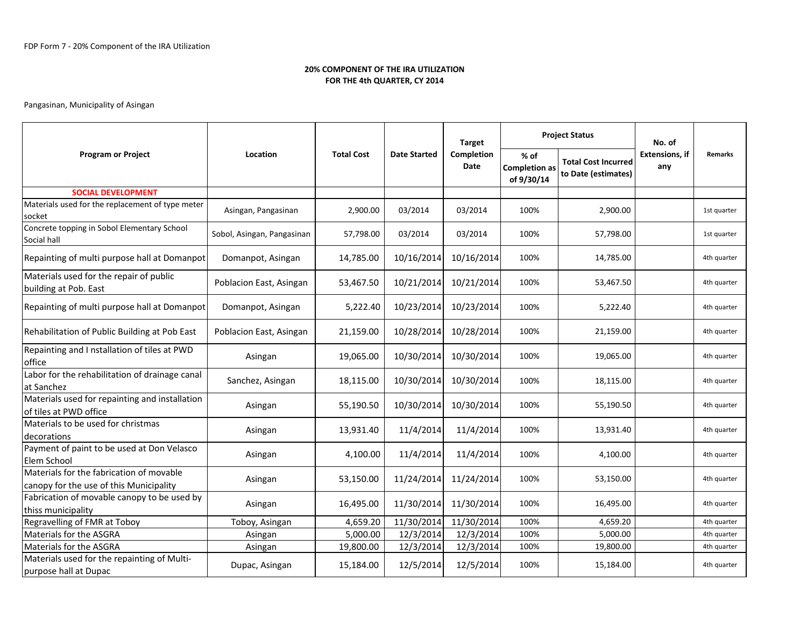| <b>Program or Project</b>                                                           | Location                   | <b>Total Cost</b> |                     | <b>Target</b>      | <b>Project Status</b>                      |                                                   | No. of                       |                |
|-------------------------------------------------------------------------------------|----------------------------|-------------------|---------------------|--------------------|--------------------------------------------|---------------------------------------------------|------------------------------|----------------|
|                                                                                     |                            |                   | <b>Date Started</b> | Completion<br>Date | % of<br><b>Completion as</b><br>of 9/30/14 | <b>Total Cost Incurred</b><br>to Date (estimates) | <b>Extensions. if</b><br>any | <b>Remarks</b> |
| <b>SOCIAL DEVELOPMENT</b>                                                           |                            |                   |                     |                    |                                            |                                                   |                              |                |
| Materials used for the replacement of type meter<br>socket                          | Asingan, Pangasinan        | 2,900.00          | 03/2014             | 03/2014            | 100%                                       | 2,900.00                                          |                              | 1st quarter    |
| Concrete topping in Sobol Elementary School<br>Social hall                          | Sobol, Asingan, Pangasinan | 57,798.00         | 03/2014             | 03/2014            | 100%                                       | 57,798.00                                         |                              | 1st quarter    |
| Repainting of multi purpose hall at Domanpot                                        | Domanpot, Asingan          | 14,785.00         | 10/16/2014          | 10/16/2014         | 100%                                       | 14,785.00                                         |                              | 4th quarter    |
| Materials used for the repair of public<br>building at Pob. East                    | Poblacion East, Asingan    | 53,467.50         | 10/21/2014          | 10/21/2014         | 100%                                       | 53,467.50                                         |                              | 4th quarter    |
| Repainting of multi purpose hall at Domanpot                                        | Domanpot, Asingan          | 5,222.40          | 10/23/2014          | 10/23/2014         | 100%                                       | 5,222.40                                          |                              | 4th quarter    |
| Rehabilitation of Public Building at Pob East                                       | Poblacion East, Asingan    | 21,159.00         | 10/28/2014          | 10/28/2014         | 100%                                       | 21,159.00                                         |                              | 4th quarter    |
| Repainting and I nstallation of tiles at PWD<br>office                              | Asingan                    | 19,065.00         | 10/30/2014          | 10/30/2014         | 100%                                       | 19,065.00                                         |                              | 4th quarter    |
| Labor for the rehabilitation of drainage canal<br>at Sanchez                        | Sanchez, Asingan           | 18,115.00         | 10/30/2014          | 10/30/2014         | 100%                                       | 18,115.00                                         |                              | 4th quarter    |
| Materials used for repainting and installation<br>of tiles at PWD office            | Asingan                    | 55,190.50         | 10/30/2014          | 10/30/2014         | 100%                                       | 55,190.50                                         |                              | 4th quarter    |
| Materials to be used for christmas<br>decorations                                   | Asingan                    | 13,931.40         | 11/4/2014           | 11/4/2014          | 100%                                       | 13,931.40                                         |                              | 4th quarter    |
| Payment of paint to be used at Don Velasco<br>Elem School                           | Asingan                    | 4,100.00          | 11/4/2014           | 11/4/2014          | 100%                                       | 4,100.00                                          |                              | 4th quarter    |
| Materials for the fabrication of movable<br>canopy for the use of this Municipality | Asingan                    | 53,150.00         | 11/24/2014          | 11/24/2014         | 100%                                       | 53,150.00                                         |                              | 4th quarter    |
| Fabrication of movable canopy to be used by<br>thiss municipality                   | Asingan                    | 16,495.00         | 11/30/2014          | 11/30/2014         | 100%                                       | 16,495.00                                         |                              | 4th quarter    |
| Regravelling of FMR at Toboy                                                        | Toboy, Asingan             | 4,659.20          | 11/30/2014          | 11/30/2014         | 100%                                       | 4,659.20                                          |                              | 4th quarter    |
| Materials for the ASGRA                                                             | Asingan                    | 5,000.00          | 12/3/2014           | 12/3/2014          | 100%                                       | 5,000.00                                          |                              | 4th quarter    |
| Materials for the ASGRA                                                             | Asingan                    | 19,800.00         | 12/3/2014           | 12/3/2014          | 100%                                       | 19,800.00                                         |                              | 4th quarter    |
| Materials used for the repainting of Multi-<br>purpose hall at Dupac                | Dupac, Asingan             | 15,184.00         | 12/5/2014           | 12/5/2014          | 100%                                       | 15,184.00                                         |                              | 4th quarter    |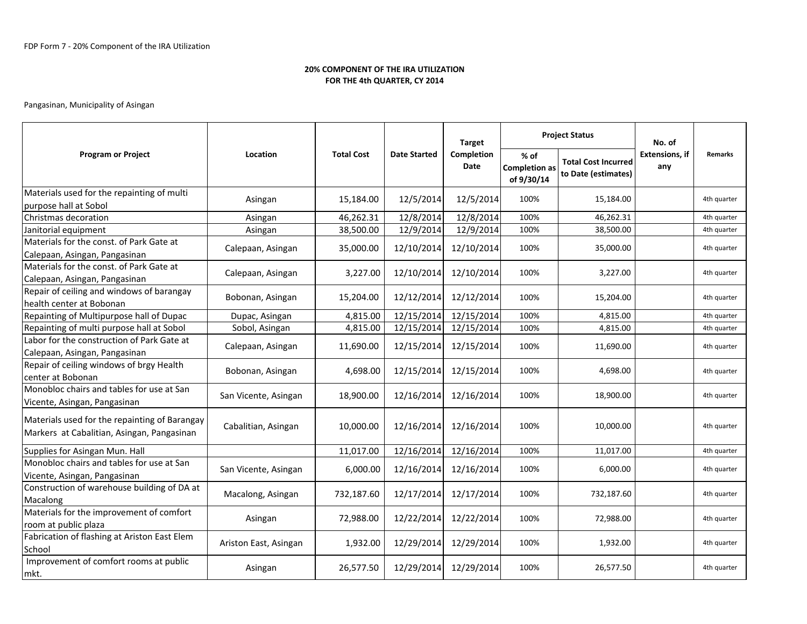|                                                                                             | Location              | <b>Total Cost</b> |                     | <b>Target</b><br>Completion<br>Date |                                              | <b>Project Status</b>                             | No. of<br><b>Extensions, if</b><br>any |                |
|---------------------------------------------------------------------------------------------|-----------------------|-------------------|---------------------|-------------------------------------|----------------------------------------------|---------------------------------------------------|----------------------------------------|----------------|
| <b>Program or Project</b>                                                                   |                       |                   | <b>Date Started</b> |                                     | $%$ of<br><b>Completion as</b><br>of 9/30/14 | <b>Total Cost Incurred</b><br>to Date (estimates) |                                        | <b>Remarks</b> |
| Materials used for the repainting of multi<br>purpose hall at Sobol                         | Asingan               | 15,184.00         | 12/5/2014           | 12/5/2014                           | 100%                                         | 15,184.00                                         |                                        | 4th quarter    |
| Christmas decoration                                                                        | Asingan               | 46,262.31         | 12/8/2014           | 12/8/2014                           | 100%                                         | 46,262.31                                         |                                        | 4th quarter    |
| Janitorial equipment                                                                        | Asingan               | 38,500.00         | 12/9/2014           | 12/9/2014                           | 100%                                         | 38,500.00                                         |                                        | 4th quarter    |
| Materials for the const. of Park Gate at<br>Calepaan, Asingan, Pangasinan                   | Calepaan, Asingan     | 35,000.00         | 12/10/2014          | 12/10/2014                          | 100%                                         | 35,000.00                                         |                                        | 4th quarter    |
| Materials for the const. of Park Gate at<br>Calepaan, Asingan, Pangasinan                   | Calepaan, Asingan     | 3,227.00          | 12/10/2014          | 12/10/2014                          | 100%                                         | 3,227.00                                          |                                        | 4th quarter    |
| Repair of ceiling and windows of barangay<br>health center at Bobonan                       | Bobonan, Asingan      | 15,204.00         | 12/12/2014          | 12/12/2014                          | 100%                                         | 15,204.00                                         |                                        | 4th quarter    |
| Repainting of Multipurpose hall of Dupac                                                    | Dupac, Asingan        | 4,815.00          | 12/15/2014          | 12/15/2014                          | 100%                                         | 4,815.00                                          |                                        | 4th quarter    |
| Repainting of multi purpose hall at Sobol                                                   | Sobol, Asingan        | 4,815.00          | 12/15/2014          | 12/15/2014                          | 100%                                         | 4,815.00                                          |                                        | 4th quarter    |
| Labor for the construction of Park Gate at<br>Calepaan, Asingan, Pangasinan                 | Calepaan, Asingan     | 11,690.00         | 12/15/2014          | 12/15/2014                          | 100%                                         | 11,690.00                                         |                                        | 4th quarter    |
| Repair of ceiling windows of brgy Health<br>center at Bobonan                               | Bobonan, Asingan      | 4,698.00          | 12/15/2014          | 12/15/2014                          | 100%                                         | 4,698.00                                          |                                        | 4th quarter    |
| Monobloc chairs and tables for use at San<br>Vicente, Asingan, Pangasinan                   | San Vicente, Asingan  | 18,900.00         | 12/16/2014          | 12/16/2014                          | 100%                                         | 18,900.00                                         |                                        | 4th quarter    |
| Materials used for the repainting of Barangay<br>Markers at Cabalitian, Asingan, Pangasinan | Cabalitian, Asingan   | 10,000.00         | 12/16/2014          | 12/16/2014                          | 100%                                         | 10,000.00                                         |                                        | 4th quarter    |
| Supplies for Asingan Mun. Hall                                                              |                       | 11,017.00         | 12/16/2014          | 12/16/2014                          | 100%                                         | 11,017.00                                         |                                        | 4th quarter    |
| Monobloc chairs and tables for use at San<br>Vicente, Asingan, Pangasinan                   | San Vicente, Asingan  | 6,000.00          | 12/16/2014          | 12/16/2014                          | 100%                                         | 6,000.00                                          |                                        | 4th quarter    |
| Construction of warehouse building of DA at<br>Macalong                                     | Macalong, Asingan     | 732,187.60        | 12/17/2014          | 12/17/2014                          | 100%                                         | 732,187.60                                        |                                        | 4th quarter    |
| Materials for the improvement of comfort<br>room at public plaza                            | Asingan               | 72,988.00         | 12/22/2014          | 12/22/2014                          | 100%                                         | 72,988.00                                         |                                        | 4th quarter    |
| Fabrication of flashing at Ariston East Elem<br>School                                      | Ariston East, Asingan | 1,932.00          | 12/29/2014          | 12/29/2014                          | 100%                                         | 1,932.00                                          |                                        | 4th quarter    |
| Improvement of comfort rooms at public<br>mkt.                                              | Asingan               | 26,577.50         | 12/29/2014          | 12/29/2014                          | 100%                                         | 26,577.50                                         |                                        | 4th quarter    |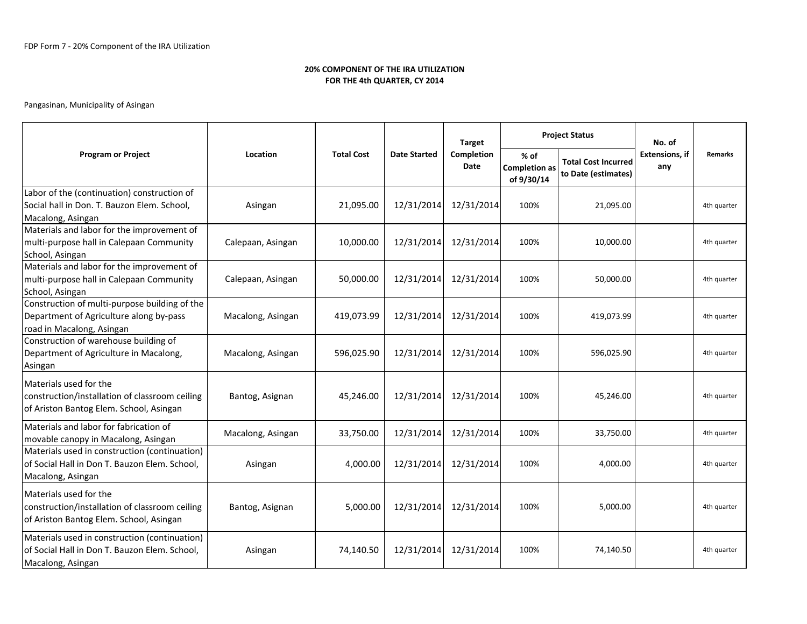| <b>Program or Project</b>                                                                                             | Location<br><b>Total Cost</b> |            |                                          | <b>Target</b> | <b>Project Status</b>                        |                                                   | No. of                       |                |
|-----------------------------------------------------------------------------------------------------------------------|-------------------------------|------------|------------------------------------------|---------------|----------------------------------------------|---------------------------------------------------|------------------------------|----------------|
|                                                                                                                       |                               |            | <b>Completion</b><br><b>Date Started</b> |               | $%$ of<br><b>Completion as</b><br>of 9/30/14 | <b>Total Cost Incurred</b><br>to Date (estimates) | <b>Extensions, if</b><br>any | <b>Remarks</b> |
| Labor of the (continuation) construction of<br>Social hall in Don. T. Bauzon Elem. School,<br>Macalong, Asingan       | Asingan                       | 21,095.00  | 12/31/2014                               | 12/31/2014    | 100%                                         | 21,095.00                                         |                              | 4th quarter    |
| Materials and labor for the improvement of<br>multi-purpose hall in Calepaan Community<br>School, Asingan             | Calepaan, Asingan             | 10,000.00  | 12/31/2014                               | 12/31/2014    | 100%                                         | 10,000.00                                         |                              | 4th quarter    |
| Materials and labor for the improvement of<br>multi-purpose hall in Calepaan Community<br>School, Asingan             | Calepaan, Asingan             | 50,000.00  | 12/31/2014                               | 12/31/2014    | 100%                                         | 50,000.00                                         |                              | 4th quarter    |
| Construction of multi-purpose building of the<br>Department of Agriculture along by-pass<br>road in Macalong, Asingan | Macalong, Asingan             | 419,073.99 | 12/31/2014                               | 12/31/2014    | 100%                                         | 419,073.99                                        |                              | 4th quarter    |
| Construction of warehouse building of<br>Department of Agriculture in Macalong,<br>Asingan                            | Macalong, Asingan             | 596,025.90 | 12/31/2014                               | 12/31/2014    | 100%                                         | 596,025.90                                        |                              | 4th quarter    |
| Materials used for the<br>construction/installation of classroom ceiling<br>of Ariston Bantog Elem. School, Asingan   | Bantog, Asignan               | 45,246.00  | 12/31/2014                               | 12/31/2014    | 100%                                         | 45,246.00                                         |                              | 4th quarter    |
| Materials and labor for fabrication of<br>movable canopy in Macalong, Asingan                                         | Macalong, Asingan             | 33,750.00  | 12/31/2014                               | 12/31/2014    | 100%                                         | 33,750.00                                         |                              | 4th quarter    |
| Materials used in construction (continuation)<br>of Social Hall in Don T. Bauzon Elem. School,<br>Macalong, Asingan   | Asingan                       | 4,000.00   | 12/31/2014                               | 12/31/2014    | 100%                                         | 4,000.00                                          |                              | 4th quarter    |
| Materials used for the<br>construction/installation of classroom ceiling<br>of Ariston Bantog Elem. School, Asingan   | Bantog, Asignan               | 5,000.00   | 12/31/2014                               | 12/31/2014    | 100%                                         | 5,000.00                                          |                              | 4th quarter    |
| Materials used in construction (continuation)<br>of Social Hall in Don T. Bauzon Elem. School,<br>Macalong, Asingan   | Asingan                       | 74,140.50  | 12/31/2014                               | 12/31/2014    | 100%                                         | 74,140.50                                         |                              | 4th quarter    |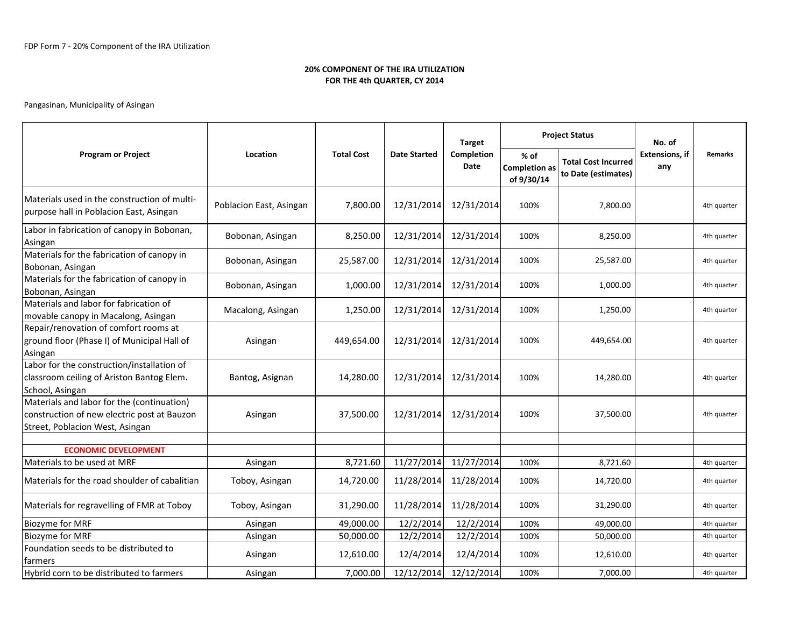| <b>Program or Project</b>                                                                                                    | Location<br><b>Total Cost</b> |                     |                    | <b>Target</b>                                | <b>Project Status</b>                             |                              | No. of  |             |
|------------------------------------------------------------------------------------------------------------------------------|-------------------------------|---------------------|--------------------|----------------------------------------------|---------------------------------------------------|------------------------------|---------|-------------|
|                                                                                                                              |                               | <b>Date Started</b> | Completion<br>Date | $%$ of<br><b>Completion as</b><br>of 9/30/14 | <b>Total Cost Incurred</b><br>to Date (estimates) | <b>Extensions, if</b><br>any | Remarks |             |
| Materials used in the construction of multi-<br>purpose hall in Poblacion East, Asingan                                      | Poblacion East, Asingan       | 7,800.00            | 12/31/2014         | 12/31/2014                                   | 100%                                              | 7,800.00                     |         | 4th quarter |
| Labor in fabrication of canopy in Bobonan,<br>Asingan                                                                        | Bobonan, Asingan              | 8,250.00            | 12/31/2014         | 12/31/2014                                   | 100%                                              | 8,250.00                     |         | 4th quarter |
| Materials for the fabrication of canopy in<br>Bobonan, Asingan                                                               | Bobonan, Asingan              | 25,587.00           | 12/31/2014         | 12/31/2014                                   | 100%                                              | 25,587.00                    |         | 4th quarter |
| Materials for the fabrication of canopy in<br>Bobonan, Asingan                                                               | Bobonan, Asingan              | 1,000.00            | 12/31/2014         | 12/31/2014                                   | 100%                                              | 1,000.00                     |         | 4th quarter |
| Materials and labor for fabrication of<br>movable canopy in Macalong, Asingan                                                | Macalong, Asingan             | 1,250.00            | 12/31/2014         | 12/31/2014                                   | 100%                                              | 1,250.00                     |         | 4th quarter |
| Repair/renovation of comfort rooms at<br>ground floor (Phase I) of Municipal Hall of<br>Asingan                              | Asingan                       | 449,654.00          | 12/31/2014         | 12/31/2014                                   | 100%                                              | 449,654.00                   |         | 4th quarter |
| Labor for the construction/installation of<br>classroom ceiling of Ariston Bantog Elem.<br>School, Asingan                   | Bantog, Asignan               | 14,280.00           | 12/31/2014         | 12/31/2014                                   | 100%                                              | 14,280.00                    |         | 4th quarter |
| Materials and labor for the (continuation)<br>construction of new electric post at Bauzon<br>Street, Poblacion West, Asingan | Asingan                       | 37,500.00           | 12/31/2014         | 12/31/2014                                   | 100%                                              | 37,500.00                    |         | 4th quarter |
|                                                                                                                              |                               |                     |                    |                                              |                                                   |                              |         |             |
| <b>ECONOMIC DEVELOPMENT</b><br>Materials to be used at MRF                                                                   | Asingan                       | 8,721.60            | 11/27/2014         | 11/27/2014                                   | 100%                                              | 8,721.60                     |         | 4th quarter |
| lMaterials for the road shoulder of cabalitian                                                                               | Toboy, Asingan                | 14,720.00           | 11/28/2014         | 11/28/2014                                   | 100%                                              | 14,720.00                    |         | 4th quarter |
| Materials for regravelling of FMR at Toboy                                                                                   | Toboy, Asingan                | 31,290.00           | 11/28/2014         | 11/28/2014                                   | 100%                                              | 31,290.00                    |         | 4th quarter |
| Biozyme for MRF                                                                                                              | Asingan                       | 49,000.00           | 12/2/2014          | 12/2/2014                                    | 100%                                              | 49,000.00                    |         | 4th quarter |
| <b>Biozyme for MRF</b>                                                                                                       | Asingan                       | 50,000.00           | 12/2/2014          | 12/2/2014                                    | 100%                                              | 50,000.00                    |         | 4th quarter |
| Foundation seeds to be distributed to<br>farmers                                                                             | Asingan                       | 12,610.00           | 12/4/2014          | 12/4/2014                                    | 100%                                              | 12,610.00                    |         | 4th quarter |
| Hybrid corn to be distributed to farmers                                                                                     | Asingan                       | 7,000.00            | 12/12/2014         | 12/12/2014                                   | 100%                                              | 7,000.00                     |         | 4th quarter |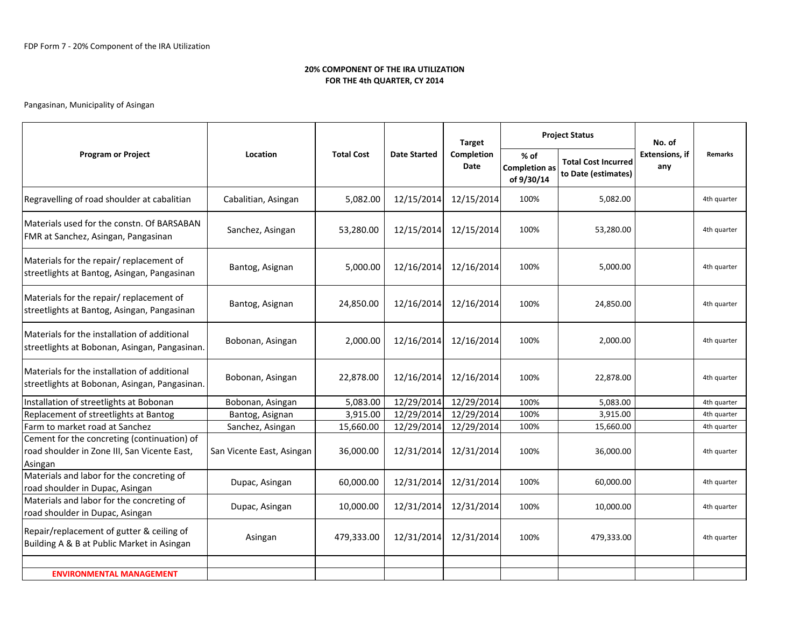| <b>Program or Project</b>                                                                              | Location                  |                   |                     | <b>Target</b>      | <b>Project Status</b>                        |                                                   | No. of                       |             |
|--------------------------------------------------------------------------------------------------------|---------------------------|-------------------|---------------------|--------------------|----------------------------------------------|---------------------------------------------------|------------------------------|-------------|
|                                                                                                        |                           | <b>Total Cost</b> | <b>Date Started</b> | Completion<br>Date | $%$ of<br><b>Completion as</b><br>of 9/30/14 | <b>Total Cost Incurred</b><br>to Date (estimates) | <b>Extensions. if</b><br>any | Remarks     |
| Regravelling of road shoulder at cabalitian                                                            | Cabalitian, Asingan       | 5,082.00          | 12/15/2014          | 12/15/2014         | 100%                                         | 5.082.00                                          |                              | 4th quarter |
| Materials used for the constn. Of BARSABAN<br>FMR at Sanchez, Asingan, Pangasinan                      | Sanchez, Asingan          | 53,280.00         | 12/15/2014          | 12/15/2014         | 100%                                         | 53,280.00                                         |                              | 4th quarter |
| Materials for the repair/ replacement of<br>streetlights at Bantog, Asingan, Pangasinan                | Bantog, Asignan           | 5,000.00          | 12/16/2014          | 12/16/2014         | 100%                                         | 5,000.00                                          |                              | 4th quarter |
| Materials for the repair/ replacement of<br>streetlights at Bantog, Asingan, Pangasinan                | Bantog, Asignan           | 24,850.00         | 12/16/2014          | 12/16/2014         | 100%                                         | 24,850.00                                         |                              | 4th quarter |
| Materials for the installation of additional<br>streetlights at Bobonan, Asingan, Pangasinan.          | Bobonan, Asingan          | 2,000.00          | 12/16/2014          | 12/16/2014         | 100%                                         | 2,000.00                                          |                              | 4th quarter |
| Materials for the installation of additional<br>streetlights at Bobonan, Asingan, Pangasinan.          | Bobonan, Asingan          | 22,878.00         | 12/16/2014          | 12/16/2014         | 100%                                         | 22,878.00                                         |                              | 4th quarter |
| Installation of streetlights at Bobonan                                                                | Bobonan, Asingan          | 5,083.00          | 12/29/2014          | 12/29/2014         | 100%                                         | 5,083.00                                          |                              | 4th quarter |
| Replacement of streetlights at Bantog                                                                  | Bantog, Asignan           | 3,915.00          | 12/29/2014          | 12/29/2014         | 100%                                         | 3,915.00                                          |                              | 4th quarter |
| Farm to market road at Sanchez                                                                         | Sanchez, Asingan          | 15,660.00         | 12/29/2014          | 12/29/2014         | 100%                                         | 15,660.00                                         |                              | 4th quarter |
| Cement for the concreting (continuation) of<br>road shoulder in Zone III, San Vicente East,<br>Asingan | San Vicente East, Asingan | 36,000.00         | 12/31/2014          | 12/31/2014         | 100%                                         | 36,000.00                                         |                              | 4th quarter |
| Materials and labor for the concreting of<br>road shoulder in Dupac, Asingan                           | Dupac, Asingan            | 60,000.00         | 12/31/2014          | 12/31/2014         | 100%                                         | 60,000.00                                         |                              | 4th quarter |
| Materials and labor for the concreting of<br>road shoulder in Dupac, Asingan                           | Dupac, Asingan            | 10,000.00         | 12/31/2014          | 12/31/2014         | 100%                                         | 10,000.00                                         |                              | 4th quarter |
| Repair/replacement of gutter & ceiling of<br>Building A & B at Public Market in Asingan                | Asingan                   | 479,333.00        | 12/31/2014          | 12/31/2014         | 100%                                         | 479,333.00                                        |                              | 4th quarter |
|                                                                                                        |                           |                   |                     |                    |                                              |                                                   |                              |             |
| <b>ENVIRONMENTAL MANAGEMENT</b>                                                                        |                           |                   |                     |                    |                                              |                                                   |                              |             |